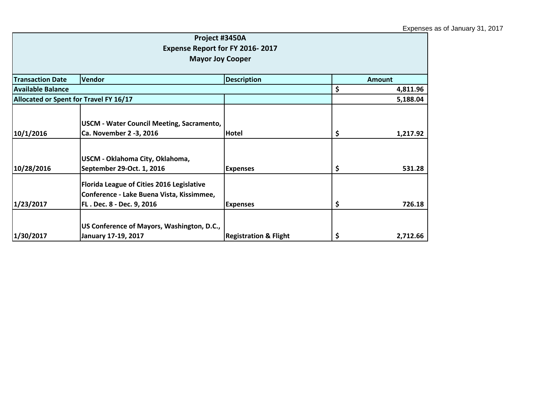| Project #3450A<br><b>Expense Report for FY 2016-2017</b><br><b>Mayor Joy Cooper</b> |                                                                                                                     |                                  |    |               |
|-------------------------------------------------------------------------------------|---------------------------------------------------------------------------------------------------------------------|----------------------------------|----|---------------|
| <b>Transaction Date</b>                                                             | <b>Vendor</b>                                                                                                       | <b>Description</b>               |    | <b>Amount</b> |
| <b>Available Balance</b>                                                            |                                                                                                                     |                                  | \$ | 4,811.96      |
|                                                                                     | Allocated or Spent for Travel FY 16/17                                                                              |                                  |    | 5,188.04      |
| 10/1/2016                                                                           | USCM - Water Council Meeting, Sacramento,<br>Ca. November 2 -3, 2016                                                | Hotel                            | \$ | 1,217.92      |
| 10/28/2016                                                                          | USCM - Oklahoma City, Oklahoma,<br>September 29-Oct. 1, 2016                                                        | <b>Expenses</b>                  | \$ | 531.28        |
| 1/23/2017                                                                           | Florida League of Cities 2016 Legislative<br>Conference - Lake Buena Vista, Kissimmee,<br>FL. Dec. 8 - Dec. 9, 2016 | <b>Expenses</b>                  | \$ | 726.18        |
| 1/30/2017                                                                           | US Conference of Mayors, Washington, D.C.,<br>January 17-19, 2017                                                   | <b>Registration &amp; Flight</b> | \$ | 2,712.66      |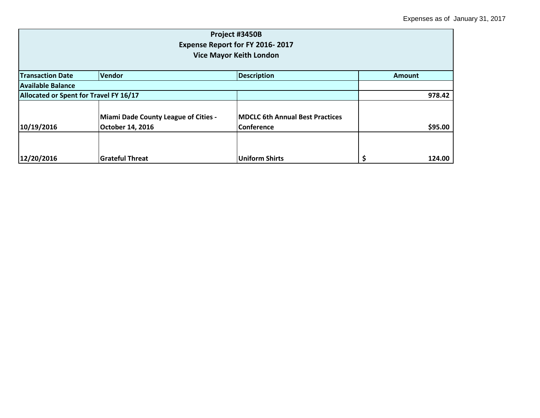| Project #3450B<br>Expense Report for FY 2016-2017<br><b>Vice Mayor Keith London</b> |                                             |                                        |               |  |
|-------------------------------------------------------------------------------------|---------------------------------------------|----------------------------------------|---------------|--|
| <b>Transaction Date</b>                                                             | Vendor                                      | <b>Description</b>                     | <b>Amount</b> |  |
| lAvailable Balance                                                                  |                                             |                                        |               |  |
| Allocated or Spent for Travel FY 16/17                                              |                                             |                                        | 978.42        |  |
|                                                                                     | <b>Miami Dade County League of Cities -</b> | <b>MDCLC 6th Annual Best Practices</b> |               |  |
| 10/19/2016                                                                          | October 14, 2016                            | <b>Conference</b>                      | \$95.00       |  |
| 12/20/2016                                                                          | <b>Grateful Threat</b>                      | <b>Uniform Shirts</b>                  | 124.00        |  |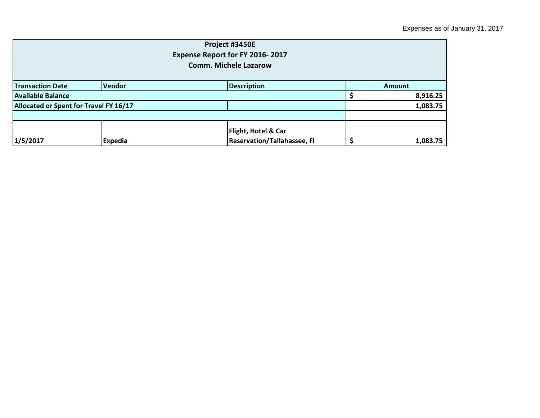| Project #3450E<br>Expense Report for FY 2016-2017<br><b>Comm. Michele Lazarow</b> |                |                                                                      |               |          |  |
|-----------------------------------------------------------------------------------|----------------|----------------------------------------------------------------------|---------------|----------|--|
| <b>Transaction Date</b>                                                           | Vendor         | <b>Description</b>                                                   | <b>Amount</b> |          |  |
| <b>Available Balance</b>                                                          |                |                                                                      |               | 8,916.25 |  |
| Allocated or Spent for Travel FY 16/17                                            |                |                                                                      |               | 1,083.75 |  |
| 1/5/2017                                                                          | <b>Expedia</b> | <b>Flight, Hotel &amp; Car</b><br><b>Reservation/Tallahassee, Fl</b> |               | 1,083.75 |  |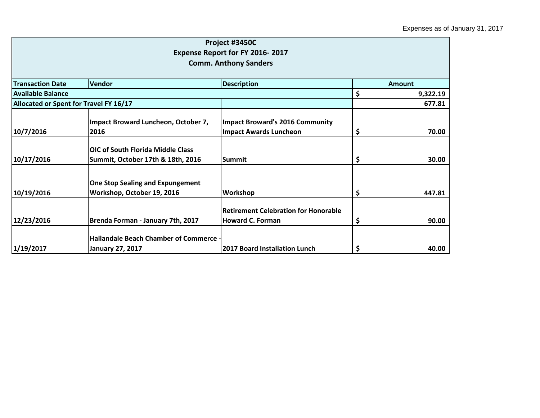|                                          |                                                                                                                                                                                                     |                                                                                                                                                                                                                                                                                  | <b>Amount</b>       |
|------------------------------------------|-----------------------------------------------------------------------------------------------------------------------------------------------------------------------------------------------------|----------------------------------------------------------------------------------------------------------------------------------------------------------------------------------------------------------------------------------------------------------------------------------|---------------------|
|                                          |                                                                                                                                                                                                     |                                                                                                                                                                                                                                                                                  | 9,322.19            |
|                                          |                                                                                                                                                                                                     |                                                                                                                                                                                                                                                                                  | 677.81              |
|                                          |                                                                                                                                                                                                     |                                                                                                                                                                                                                                                                                  |                     |
|                                          |                                                                                                                                                                                                     |                                                                                                                                                                                                                                                                                  | 70.00               |
|                                          |                                                                                                                                                                                                     |                                                                                                                                                                                                                                                                                  |                     |
| <b>OIC of South Florida Middle Class</b> |                                                                                                                                                                                                     |                                                                                                                                                                                                                                                                                  |                     |
| Summit, October 17th & 18th, 2016        | <b>Summit</b>                                                                                                                                                                                       | \$                                                                                                                                                                                                                                                                               | 30.00               |
|                                          |                                                                                                                                                                                                     |                                                                                                                                                                                                                                                                                  |                     |
|                                          |                                                                                                                                                                                                     |                                                                                                                                                                                                                                                                                  |                     |
|                                          |                                                                                                                                                                                                     |                                                                                                                                                                                                                                                                                  | 447.81              |
|                                          | <b>Retirement Celebration for Honorable</b>                                                                                                                                                         |                                                                                                                                                                                                                                                                                  |                     |
| Brenda Forman - January 7th, 2017        | <b>Howard C. Forman</b>                                                                                                                                                                             | \$                                                                                                                                                                                                                                                                               | 90.00               |
|                                          |                                                                                                                                                                                                     |                                                                                                                                                                                                                                                                                  |                     |
|                                          |                                                                                                                                                                                                     |                                                                                                                                                                                                                                                                                  | 40.00               |
|                                          | Vendor<br>Allocated or Spent for Travel FY 16/17<br>Impact Broward Luncheon, October 7,<br>2016<br><b>One Stop Sealing and Expungement</b><br>Workshop, October 19, 2016<br><b>January 27, 2017</b> | Project #3450C<br><b>Expense Report for FY 2016-2017</b><br><b>Comm. Anthony Sanders</b><br><b>Description</b><br><b>Impact Broward's 2016 Community</b><br><b>Impact Awards Luncheon</b><br>Workshop<br>Hallandale Beach Chamber of Commerce -<br>2017 Board Installation Lunch | \$<br>\$<br>\$<br>Ş |